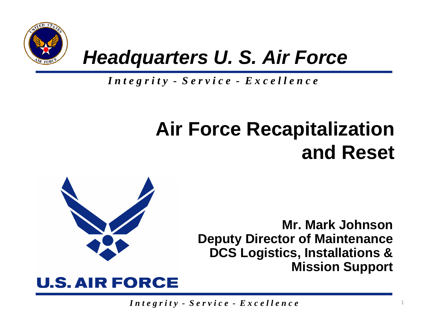

## *Headquarters U. S. Air Force*

*I n t e g r i t y - S e r v i c e - E x c e l l e n c e*

# **Air Force Recapitalization and Reset**



**Mr. Mark JohnsonDeputy Director of Maintenance DCS Logistics, Installations & Mission Support**

1

#### **U.S. AIR FORCE**

*I n t e g r i t y - S e r v i c e - E x c e l l e n c e*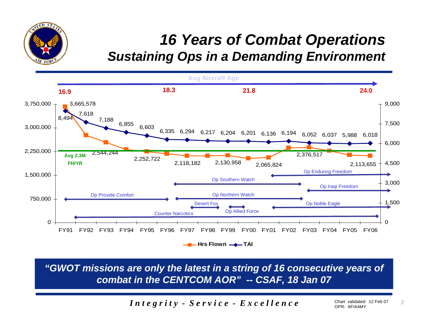#### *16 Years of Combat Operations Sustaining Ops in a Demanding Environment*



TED ST

 $FOM$ 

*"GWOT missions are only the latest in a string of 16 consecutive years of combat in the CENTCOM AOR" -- CSAF, 18 Jan 07*

*I n t e g r i t y - S e r v i c e - E x c e l l e n c e*

2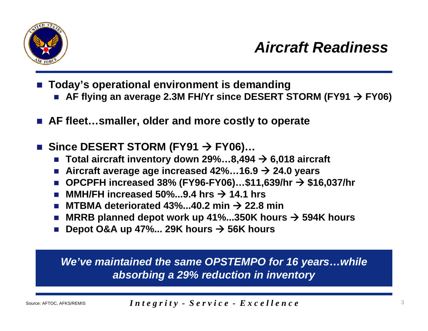

- $\mathbb{R}^3$  **Today's operational environment is demanding**
	- AF flying an average 2.3M FH/Yr since DESERT STORM (FY91 → FY06)
- AF fleet…smaller, older and more costly to operate
- Since DESERT STORM (FY91  $\rightarrow$  FY06)...
	- Π **Total aircraft inventory down 29%…8,494**  Æ **6,018 aircraft**
	- **Aircraft average age increased 42%…16.9**  Æ **24.0 years**
	- OPCPFH increased 38% (FY96-FY06)…\$11,639/hr **→ \$16,037/hr**
	- Π ■ MMH/FH increased 50%...9.4 hrs **→ 14.1 hrs**
	- MTBMA deteriorated 43%...40.2 min → 22.8 min
	- MRRB planned depot work up 41%...350K hours  $\rightarrow$  594K hours
	- Depot O&A up 47%... 29K hours  $\rightarrow$  56K hours

*We've maintained the same OPSTEMPO for 16 years…while absorbing a 29% reduction in inventory*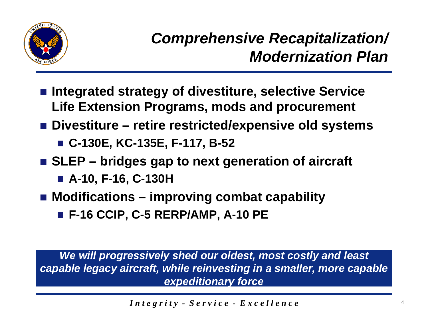

- Integrated strategy of divestiture, selective Service **Life Extension Programs, mods and procurement**
- Divestiture retire restricted/expensive old systems
	- **C-130E, KC-135E, F-117, B-52**
- SLEP bridges gap to next generation of aircraft
	- **A-10, F-16, C-130H**
- Modifications improving combat capability
	- **F-16 CCIP, C-5 RERP/AMP, A-10 PE**

*We will progressively shed our oldest, most costly and least capable legacy aircraft, while reinvesting in a smaller, more capable expeditionary force*

*I n t e g r i t y - S e r v i c e - E x c e l l e n c e*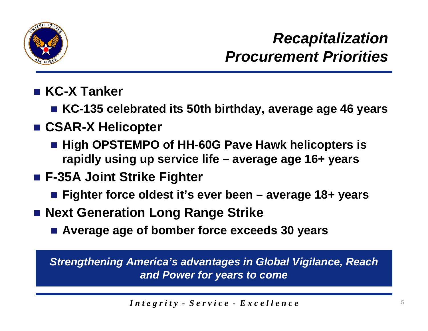

### *Recapitalization Procurement Priorities*

- **KC-X Tanker**
	- **KC-135 celebrated its 50th birthday, average age 46 years**
- **CSAR-X Helicopter**
	- High OPSTEMPO of HH-60G Pave Hawk helicopters is **rapidly using up service life – average age 16+ years**
- **F-35A Joint Strike Fighter**
	- **Fighter force oldest it's ever been – average 18+ years**
- Next Generation Long Range Strike
	- **Average age of bomber force exceeds 30 years**

*Strengthening America's advantages in Global Vigilance, Reach and Power for years to come*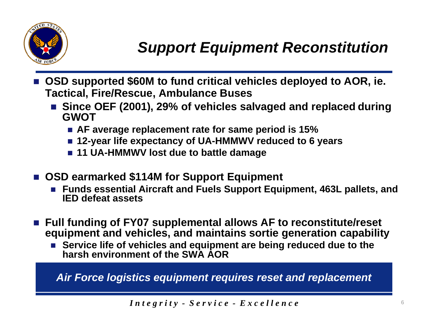

- $\mathbb{R}^3$  **OSD supported \$60M to fund critical vehicles deployed to AOR, ie. Tactical, Fire/Rescue, Ambulance Buses**
	- Since OEF (2001), 29% of vehicles salvaged and replaced during **GWOT**
		- **AF average replacement rate for same period is 15%**
		- 12-year life expectancy of UA-HMMWV reduced to 6 years
		- **11 UA-HMMWV lost due to battle damage**
- **OSD earmarked \$114M for Support Equipment**
	- Π **Funds essential Aircraft and Fuels Support Equipment, 463L pallets, and IED defeat assets**
- Full funding of FY07 supplemental allows AF to reconstitute/reset **equipment and vehicles, and maintains sortie generation capability**
	- Service life of vehicles and equipment are being reduced due to the **harsh environment of the SWA AOR**

*Air Force logistics equipment requires reset and replacement*